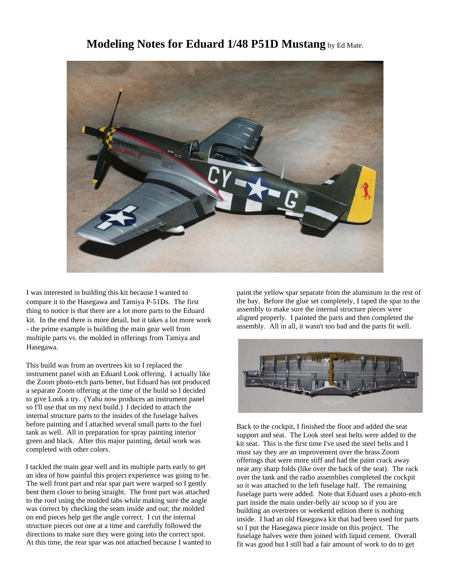## **Modeling Notes for Eduard 1/48 P51D Mustang** by Ed Mate.



I was interested in building this kit because I wanted to compare it to the Hasegawa and Tamiya P-51Ds. The first thing to notice is that there are a lot more parts to the Eduard kit. In the end there is more detail, but it takes a lot more work - the prime example is building the main gear well from multiple parts vs. the molded in offerings from Tamiya and Hasegawa.

This build was from an overtrees kit so I replaced the instrument panel with an Eduard Look offering. I actually like the Zoom photo-etch parts better, but Eduard has not produced a separate Zoom offering at the time of the build so I decided to give Look a try. (Yahu now produces an instrument panel so I'll use that on my next build.) I decided to attach the internal structure parts to the insides of the fuselage halves before painting and I attached several small parts to the fuel tank as well. All in preparation for spray painting interior green and black. After this major painting, detail work was completed with other colors.

I tackled the main gear well and its multiple parts early to get an idea of how painful this project experience was going to be. The well front part and rear spar part were warped so I gently bent them closer to being straight. The front part was attached to the roof using the molded tabs while making sure the angle was correct by checking the seam inside and out; the molded on end pieces help get the angle correct. I cut the internal structure pieces out one at a time and carefully followed the directions to make sure they were going into the correct spot. At this time, the rear spar was not attached because I wanted to paint the yellow spar separate from the aluminum in the rest of the bay. Before the glue set completely, I taped the spar to the assembly to make sure the internal structure pieces were aligned properly. I painted the parts and then completed the assembly. All in all, it wasn't too bad and the parts fit well.



Back to the cockpit, I finished the floor and added the seat support and seat. The Look steel seat belts were added to the kit seat. This is the first time I've used the steel belts and I must say they are an improvement over the brass Zoom offerings that were more stiff and had the paint crack away near any sharp folds (like over the back of the seat). The rack over the tank and the radio assemblies completed the cockpit so it was attached to the left fuselage half. The remaining fuselage parts were added. Note that Eduard uses a photo-etch part inside the main under-belly air scoop so if you are building an overtrees or weekend edition there is nothing inside. I had an old Hasegawa kit that had been used for parts so I put the Hasegawa piece inside on this project. The fuselage halves were then joined with liquid cement. Overall fit was good but I still had a fair amount of work to do to get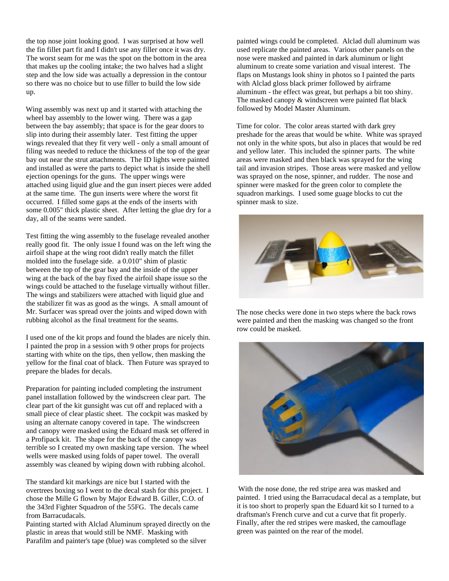the top nose joint looking good. I was surprised at how well the fin fillet part fit and I didn't use any filler once it was dry. The worst seam for me was the spot on the bottom in the area that makes up the cooling intake; the two halves had a slight step and the low side was actually a depression in the contour so there was no choice but to use filler to build the low side up.

Wing assembly was next up and it started with attaching the wheel bay assembly to the lower wing. There was a gap between the bay assembly; that space is for the gear doors to slip into during their assembly later. Test fitting the upper wings revealed that they fit very well - only a small amount of filing was needed to reduce the thickness of the top of the gear bay out near the strut attachments. The ID lights were painted and installed as were the parts to depict what is inside the shell ejection openings for the guns. The upper wings were attached using liquid glue and the gun insert pieces were added at the same time. The gun inserts were where the worst fit occurred. I filled some gaps at the ends of the inserts with some 0.005" thick plastic sheet. After letting the glue dry for a day, all of the seams were sanded.

Test fitting the wing assembly to the fuselage revealed another really good fit. The only issue I found was on the left wing the airfoil shape at the wing root didn't really match the fillet molded into the fuselage side. a 0.010" shim of plastic between the top of the gear bay and the inside of the upper wing at the back of the bay fixed the airfoil shape issue so the wings could be attached to the fuselage virtually without filler. The wings and stabilizers were attached with liquid glue and the stabilizer fit was as good as the wings. A small amount of Mr. Surfacer was spread over the joints and wiped down with rubbing alcohol as the final treatment for the seams.

I used one of the kit props and found the blades are nicely thin. I painted the prop in a session with 9 other props for projects starting with white on the tips, then yellow, then masking the yellow for the final coat of black. Then Future was sprayed to prepare the blades for decals.

Preparation for painting included completing the instrument panel installation followed by the windscreen clear part. The clear part of the kit gunsight was cut off and replaced with a small piece of clear plastic sheet. The cockpit was masked by using an alternate canopy covered in tape. The windscreen and canopy were masked using the Eduard mask set offered in a Profipack kit. The shape for the back of the canopy was terrible so I created my own masking tape version. The wheel wells were masked using folds of paper towel. The overall assembly was cleaned by wiping down with rubbing alcohol.

The standard kit markings are nice but I started with the overtrees boxing so I went to the decal stash for this project. I chose the Mille G flown by Major Edward B. Giller, C.O. of the 343rd Fighter Squadron of the 55FG. The decals came from Barracudacals.

Painting started with Alclad Aluminum sprayed directly on the plastic in areas that would still be NMF. Masking with Parafilm and painter's tape (blue) was completed so the silver

painted wings could be completed. Alclad dull aluminum was used replicate the painted areas. Various other panels on the nose were masked and painted in dark aluminum or light aluminum to create some variation and visual interest. The flaps on Mustangs look shiny in photos so I painted the parts with Alclad gloss black primer followed by airframe aluminum - the effect was great, but perhaps a bit too shiny. The masked canopy & windscreen were painted flat black followed by Model Master Aluminum.

Time for color. The color areas started with dark grey preshade for the areas that would be white. White was sprayed not only in the white spots, but also in places that would be red and yellow later. This included the spinner parts. The white areas were masked and then black was sprayed for the wing tail and invasion stripes. Those areas were masked and yellow was sprayed on the nose, spinner, and rudder. The nose and spinner were masked for the green color to complete the squadron markings. I used some guage blocks to cut the spinner mask to size.



The nose checks were done in two steps where the back rows were painted and then the masking was changed so the front row could be masked.



With the nose done, the red stripe area was masked and painted. I tried using the Barracudacal decal as a template, but it is too short to properly span the Eduard kit so I turned to a draftsman's French curve and cut a curve that fit properly. Finally, after the red stripes were masked, the camouflage green was painted on the rear of the model.